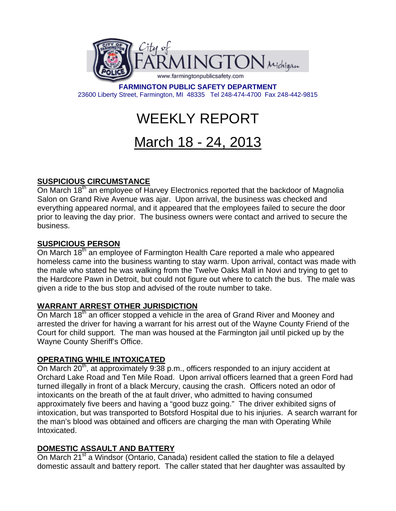

**FARMINGTON PUBLIC SAFETY DEPARTMENT**  23600 Liberty Street, Farmington, MI 48335 Tel 248-474-4700 Fax 248-442-9815

# WEEKLY REPORT

# March 18 - 24, 2013

# **SUSPICIOUS CIRCUMSTANCE**

On March 18<sup>th</sup> an employee of Harvey Electronics reported that the backdoor of Magnolia Salon on Grand Rive Avenue was ajar. Upon arrival, the business was checked and everything appeared normal, and it appeared that the employees failed to secure the door prior to leaving the day prior. The business owners were contact and arrived to secure the business.

# **SUSPICIOUS PERSON**

On March 18<sup>th</sup> an employee of Farmington Health Care reported a male who appeared homeless came into the business wanting to stay warm. Upon arrival, contact was made with the male who stated he was walking from the Twelve Oaks Mall in Novi and trying to get to the Hardcore Pawn in Detroit, but could not figure out where to catch the bus. The male was given a ride to the bus stop and advised of the route number to take.

# **WARRANT ARREST OTHER JURISDICTION**

On March 18<sup>th</sup> an officer stopped a vehicle in the area of Grand River and Mooney and arrested the driver for having a warrant for his arrest out of the Wayne County Friend of the Court for child support. The man was housed at the Farmington jail until picked up by the Wayne County Sheriff's Office.

# **OPERATING WHILE INTOXICATED**

On March 20<sup>th</sup>, at approximately 9:38 p.m., officers responded to an injury accident at Orchard Lake Road and Ten Mile Road. Upon arrival officers learned that a green Ford had turned illegally in front of a black Mercury, causing the crash. Officers noted an odor of intoxicants on the breath of the at fault driver, who admitted to having consumed approximately five beers and having a "good buzz going." The driver exhibited signs of intoxication, but was transported to Botsford Hospital due to his injuries. A search warrant for the man's blood was obtained and officers are charging the man with Operating While Intoxicated.

# **DOMESTIC ASSAULT AND BATTERY**

On March 21<sup>st</sup> a Windsor (Ontario, Canada) resident called the station to file a delayed domestic assault and battery report. The caller stated that her daughter was assaulted by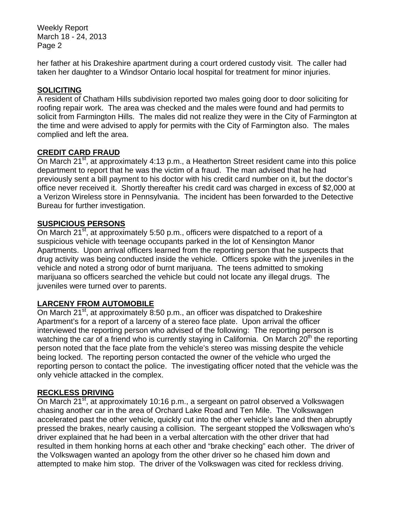Weekly Report March 18 - 24, 2013 Page 2

her father at his Drakeshire apartment during a court ordered custody visit. The caller had taken her daughter to a Windsor Ontario local hospital for treatment for minor injuries.

#### **SOLICITING**

A resident of Chatham Hills subdivision reported two males going door to door soliciting for roofing repair work. The area was checked and the males were found and had permits to solicit from Farmington Hills. The males did not realize they were in the City of Farmington at the time and were advised to apply for permits with the City of Farmington also. The males complied and left the area.

#### **CREDIT CARD FRAUD**

On March 21<sup>st</sup>, at approximately 4:13 p.m., a Heatherton Street resident came into this police department to report that he was the victim of a fraud. The man advised that he had previously sent a bill payment to his doctor with his credit card number on it, but the doctor's office never received it. Shortly thereafter his credit card was charged in excess of \$2,000 at a Verizon Wireless store in Pennsylvania. The incident has been forwarded to the Detective Bureau for further investigation.

#### **SUSPICIOUS PERSONS**

On March  $21^{st}$ , at approximately 5:50 p.m., officers were dispatched to a report of a suspicious vehicle with teenage occupants parked in the lot of Kensington Manor Apartments. Upon arrival officers learned from the reporting person that he suspects that drug activity was being conducted inside the vehicle. Officers spoke with the juveniles in the vehicle and noted a strong odor of burnt marijuana. The teens admitted to smoking marijuana so officers searched the vehicle but could not locate any illegal drugs. The juveniles were turned over to parents.

# **LARCENY FROM AUTOMOBILE**

On March 21<sup>st</sup>, at approximately 8:50 p.m., an officer was dispatched to Drakeshire Apartment's for a report of a larceny of a stereo face plate. Upon arrival the officer interviewed the reporting person who advised of the following: The reporting person is watching the car of a friend who is currently staying in California. On March 20<sup>th</sup> the reporting person noted that the face plate from the vehicle's stereo was missing despite the vehicle being locked. The reporting person contacted the owner of the vehicle who urged the reporting person to contact the police. The investigating officer noted that the vehicle was the only vehicle attacked in the complex.

#### **RECKLESS DRIVING**

On March 21<sup>st</sup>, at approximately 10:16 p.m., a sergeant on patrol observed a Volkswagen chasing another car in the area of Orchard Lake Road and Ten Mile. The Volkswagen accelerated past the other vehicle, quickly cut into the other vehicle's lane and then abruptly pressed the brakes, nearly causing a collision. The sergeant stopped the Volkswagen who's driver explained that he had been in a verbal altercation with the other driver that had resulted in them honking horns at each other and "brake checking" each other. The driver of the Volkswagen wanted an apology from the other driver so he chased him down and attempted to make him stop. The driver of the Volkswagen was cited for reckless driving.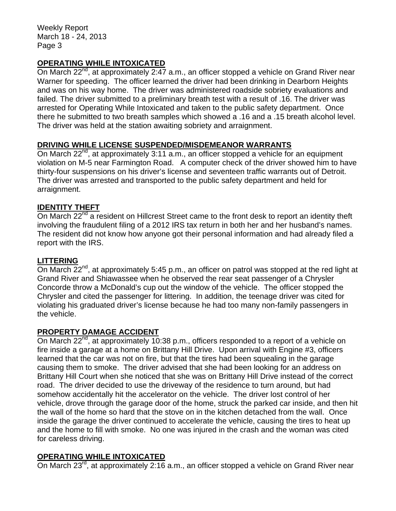Weekly Report March 18 - 24, 2013 Page 3

# **OPERATING WHILE INTOXICATED**

On March 22<sup>nd</sup>, at approximately 2:47 a.m., an officer stopped a vehicle on Grand River near Warner for speeding. The officer learned the driver had been drinking in Dearborn Heights and was on his way home. The driver was administered roadside sobriety evaluations and failed. The driver submitted to a preliminary breath test with a result of .16. The driver was arrested for Operating While Intoxicated and taken to the public safety department. Once there he submitted to two breath samples which showed a .16 and a .15 breath alcohol level. The driver was held at the station awaiting sobriety and arraignment.

# **DRIVING WHILE LICENSE SUSPENDED/MISDEMEANOR WARRANTS**

On March 22<sup>nd</sup>, at approximately 3:11 a.m., an officer stopped a vehicle for an equipment violation on M-5 near Farmington Road. A computer check of the driver showed him to have thirty-four suspensions on his driver's license and seventeen traffic warrants out of Detroit. The driver was arrested and transported to the public safety department and held for arraignment.

# **IDENTITY THEFT**

On March 22<sup>nd</sup> a resident on Hillcrest Street came to the front desk to report an identity theft involving the fraudulent filing of a 2012 IRS tax return in both her and her husband's names. The resident did not know how anyone got their personal information and had already filed a report with the IRS.

#### **LITTERING**

On March 22<sup>nd</sup>, at approximately 5:45 p.m., an officer on patrol was stopped at the red light at Grand River and Shiawassee when he observed the rear seat passenger of a Chrysler Concorde throw a McDonald's cup out the window of the vehicle. The officer stopped the Chrysler and cited the passenger for littering. In addition, the teenage driver was cited for violating his graduated driver's license because he had too many non-family passengers in the vehicle.

#### **PROPERTY DAMAGE ACCIDENT**

On March  $22^{nd}$ , at approximately 10:38 p.m., officers responded to a report of a vehicle on fire inside a garage at a home on Brittany Hill Drive. Upon arrival with Engine #3, officers learned that the car was not on fire, but that the tires had been squealing in the garage causing them to smoke. The driver advised that she had been looking for an address on Brittany Hill Court when she noticed that she was on Brittany Hill Drive instead of the correct road. The driver decided to use the driveway of the residence to turn around, but had somehow accidentally hit the accelerator on the vehicle. The driver lost control of her vehicle, drove through the garage door of the home, struck the parked car inside, and then hit the wall of the home so hard that the stove on in the kitchen detached from the wall. Once inside the garage the driver continued to accelerate the vehicle, causing the tires to heat up and the home to fill with smoke. No one was injured in the crash and the woman was cited for careless driving.

#### **OPERATING WHILE INTOXICATED**

On March 23<sup>rd</sup>, at approximately 2:16 a.m., an officer stopped a vehicle on Grand River near